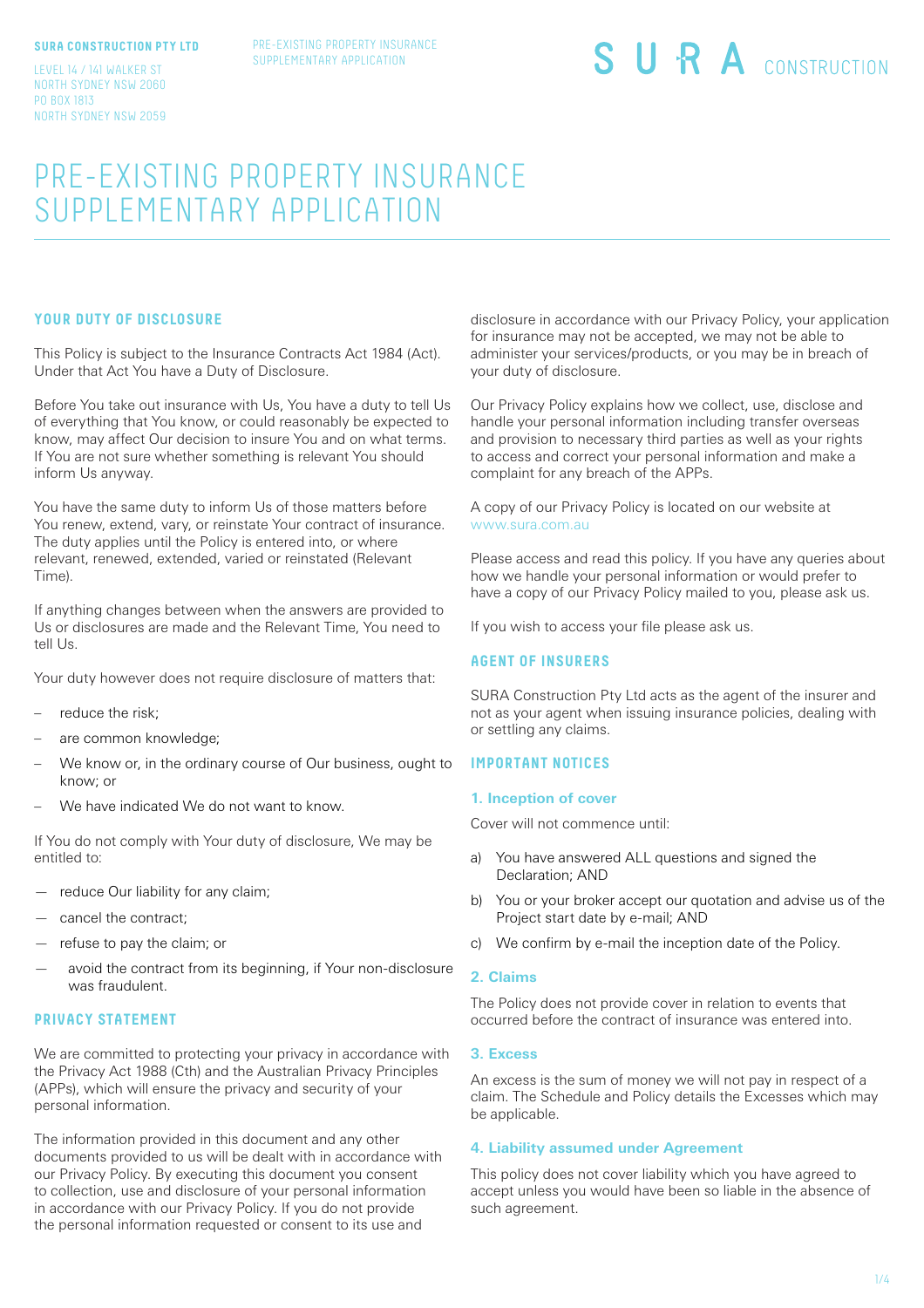#### **SURA CONSTRUCTION PTY LTD**

LEVEL 14 / 141 WALKER ST NORTH SYDNEY NSW 2060 PO BOX 1813 NORTH SYDNEY NSW 2059

# PRE-EXISTING PROPERTY INSURANCE SUPPLEMENTARY APPLICATION

# **YOUR DUTY OF DISCLOSURE**

This Policy is subject to the Insurance Contracts Act 1984 (Act). Under that Act You have a Duty of Disclosure.

Before You take out insurance with Us, You have a duty to tell Us of everything that You know, or could reasonably be expected to know, may affect Our decision to insure You and on what terms. If You are not sure whether something is relevant You should inform Us anyway.

You have the same duty to inform Us of those matters before You renew, extend, vary, or reinstate Your contract of insurance. The duty applies until the Policy is entered into, or where relevant, renewed, extended, varied or reinstated (Relevant Time).

If anything changes between when the answers are provided to Us or disclosures are made and the Relevant Time, You need to tell Us.

Your duty however does not require disclosure of matters that:

- reduce the risk:
- are common knowledge;
- We know or, in the ordinary course of Our business, ought to know; or
- We have indicated We do not want to know.

If You do not comply with Your duty of disclosure, We may be entitled to:

- reduce Our liability for any claim;
- cancel the contract;
- refuse to pay the claim; or
- avoid the contract from its beginning, if Your non-disclosure was fraudulent.

## **PRIVACY STATEMENT**

We are committed to protecting your privacy in accordance with the Privacy Act 1988 (Cth) and the Australian Privacy Principles (APPs), which will ensure the privacy and security of your personal information.

The information provided in this document and any other documents provided to us will be dealt with in accordance with our Privacy Policy. By executing this document you consent to collection, use and disclosure of your personal information in accordance with our Privacy Policy. If you do not provide the personal information requested or consent to its use and

disclosure in accordance with our Privacy Policy, your application for insurance may not be accepted, we may not be able to administer your services/products, or you may be in breach of your duty of disclosure.

Our Privacy Policy explains how we collect, use, disclose and handle your personal information including transfer overseas and provision to necessary third parties as well as your rights to access and correct your personal information and make a complaint for any breach of the APPs.

A copy of our Privacy Policy is located on our website at www.sura.com.au

Please access and read this policy. If you have any queries about how we handle your personal information or would prefer to have a copy of our Privacy Policy mailed to you, please ask us.

If you wish to access your file please ask us.

## **AGENT OF INSURERS**

SURA Construction Pty Ltd acts as the agent of the insurer and not as your agent when issuing insurance policies, dealing with or settling any claims.

## **IMPORTANT NOTICES**

#### **1. Inception of cover**

Cover will not commence until:

- a) You have answered ALL questions and signed the Declaration; AND
- b) You or your broker accept our quotation and advise us of the Project start date by e-mail; AND
- c) We confirm by e-mail the inception date of the Policy.

## **2. Claims**

The Policy does not provide cover in relation to events that occurred before the contract of insurance was entered into.

### **3. Excess**

An excess is the sum of money we will not pay in respect of a claim. The Schedule and Policy details the Excesses which may be applicable.

## **4. Liability assumed under Agreement**

This policy does not cover liability which you have agreed to accept unless you would have been so liable in the absence of such agreement.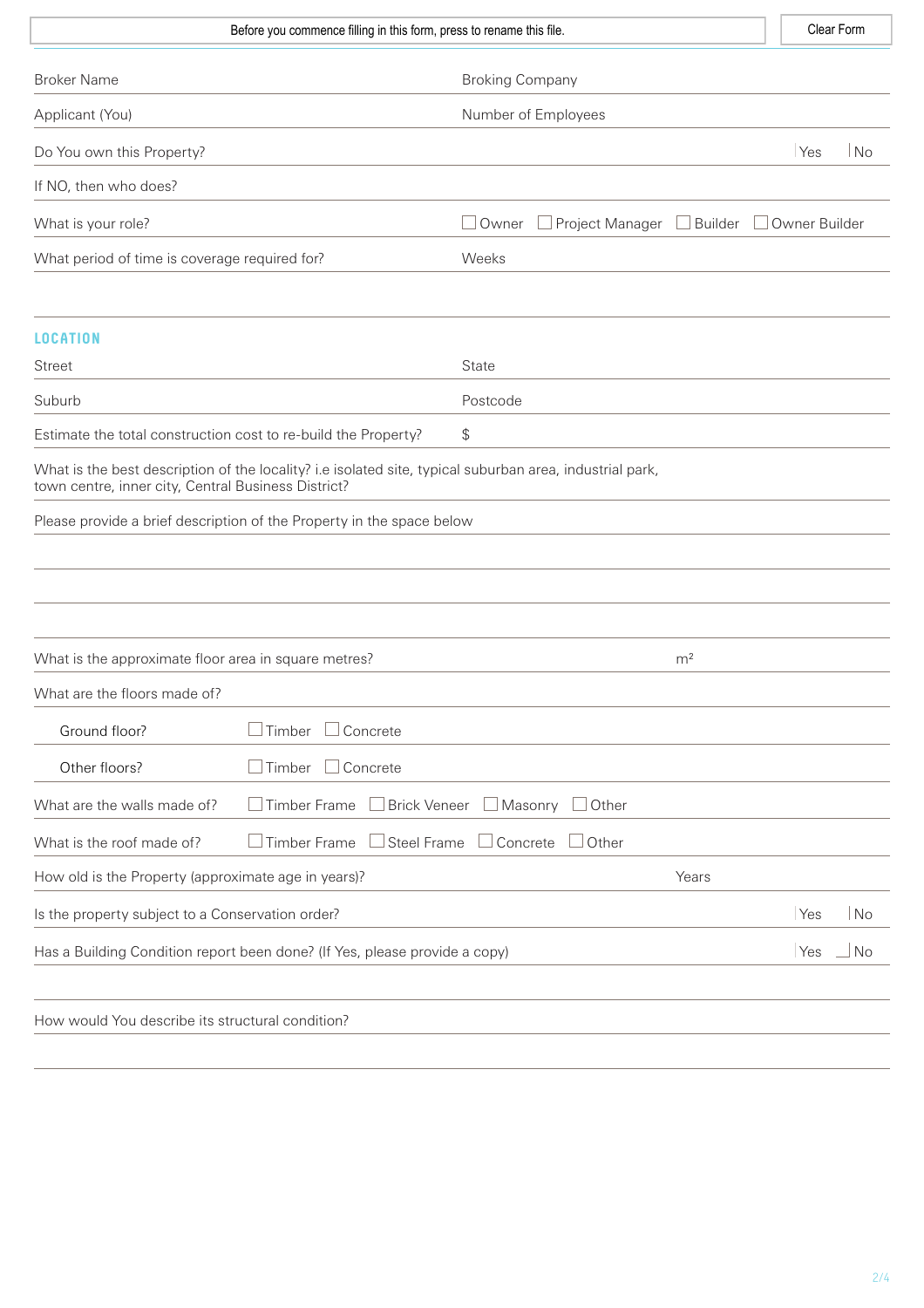| Before you commence filling in this form, press to rename this file.                                                                                            |                                            | Clear Form    |  |  |
|-----------------------------------------------------------------------------------------------------------------------------------------------------------------|--------------------------------------------|---------------|--|--|
| <b>Broker Name</b>                                                                                                                                              | <b>Broking Company</b>                     |               |  |  |
| Applicant (You)                                                                                                                                                 | Number of Employees                        |               |  |  |
| Do You own this Property?                                                                                                                                       |                                            | Yes<br>No     |  |  |
| If NO, then who does?                                                                                                                                           |                                            |               |  |  |
| What is your role?                                                                                                                                              | Project Manager<br>$\Box$ Builder<br>Owner | Owner Builder |  |  |
| What period of time is coverage required for?                                                                                                                   | Weeks                                      |               |  |  |
|                                                                                                                                                                 |                                            |               |  |  |
| <b>LOCATION</b><br><b>Street</b>                                                                                                                                | State                                      |               |  |  |
| Suburb                                                                                                                                                          | Postcode                                   |               |  |  |
| Estimate the total construction cost to re-build the Property?                                                                                                  | \$                                         |               |  |  |
| What is the best description of the locality? i.e isolated site, typical suburban area, industrial park,<br>town centre, inner city, Central Business District? |                                            |               |  |  |
| Please provide a brief description of the Property in the space below                                                                                           |                                            |               |  |  |
|                                                                                                                                                                 |                                            |               |  |  |
|                                                                                                                                                                 |                                            |               |  |  |
|                                                                                                                                                                 |                                            |               |  |  |
| What is the approximate floor area in square metres?                                                                                                            | m <sup>2</sup>                             |               |  |  |
| What are the floors made of?                                                                                                                                    |                                            |               |  |  |
| Timber $\Box$ Concrete<br>Ground floor?                                                                                                                         |                                            |               |  |  |
| Timber<br>$\Box$ Concrete<br>Other floors?                                                                                                                      |                                            |               |  |  |
| Timber Frame<br><b>Brick Veneer</b><br>What are the walls made of?                                                                                              | $\Box$ Masonry<br>$\Box$ Other             |               |  |  |
| Steel Frame<br><b>Timber Frame</b><br>What is the roof made of?                                                                                                 | Concrete<br>$\Box$ Other                   |               |  |  |
| How old is the Property (approximate age in years)?                                                                                                             | Years                                      |               |  |  |
| Is the property subject to a Conservation order?                                                                                                                |                                            | Yes<br>No     |  |  |
| Has a Building Condition report been done? (If Yes, please provide a copy)                                                                                      |                                            | No<br>Yes     |  |  |
|                                                                                                                                                                 |                                            |               |  |  |
| How would You describe its structural condition?                                                                                                                |                                            |               |  |  |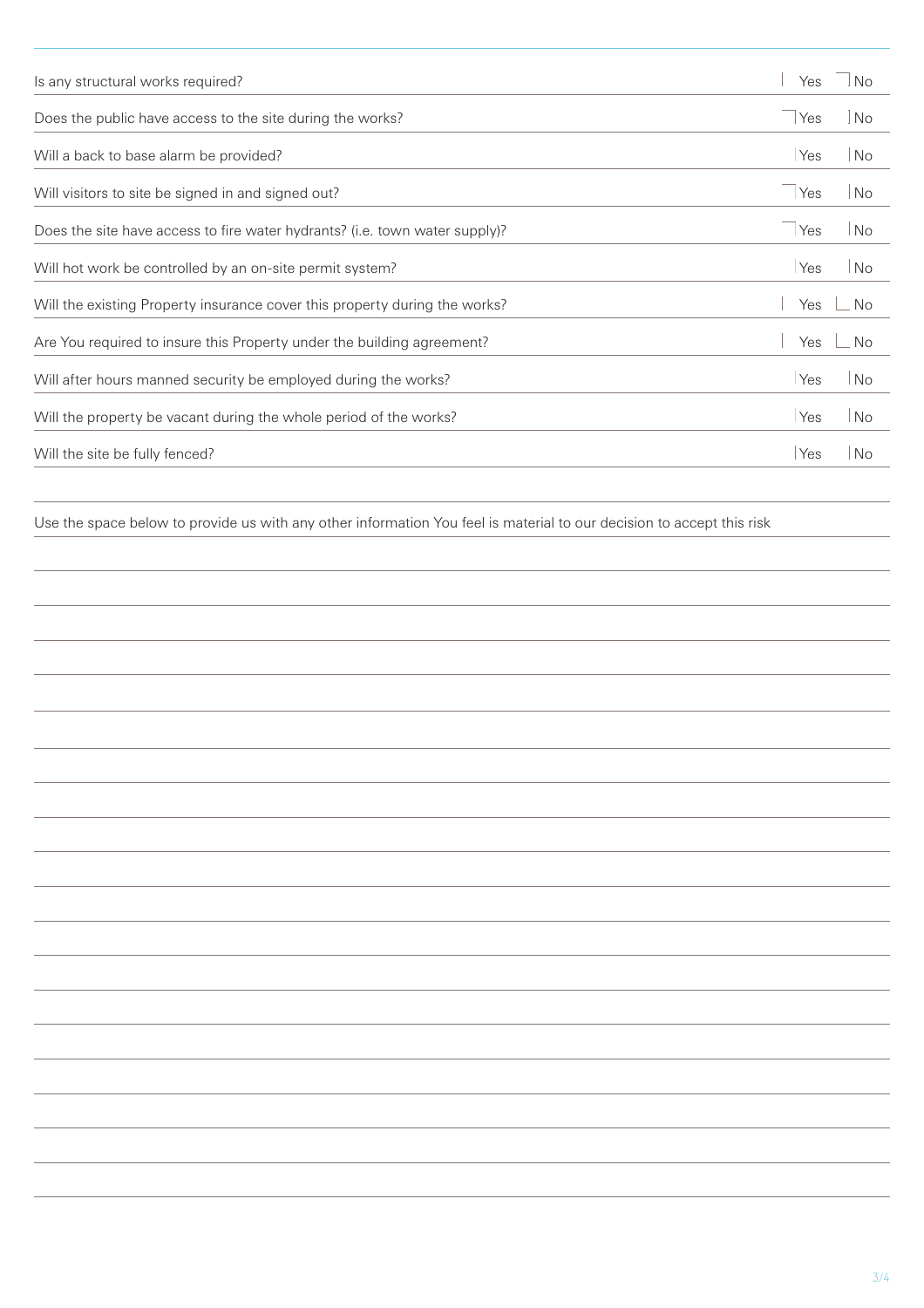| Is any structural works required?                                           | Yes   | <b>No</b>      |
|-----------------------------------------------------------------------------|-------|----------------|
| Does the public have access to the site during the works?                   | l Yes | No             |
| Will a back to base alarm be provided?                                      | Yes   | No             |
| Will visitors to site be signed in and signed out?                          | Yes   | No             |
| Does the site have access to fire water hydrants? (i.e. town water supply)? | Yes   | No             |
| Will hot work be controlled by an on-site permit system?                    | Yes   | N <sub>o</sub> |
| Will the existing Property insurance cover this property during the works?  | Yes   | <b>No</b>      |
| Are You required to insure this Property under the building agreement?      | Yes   | <b>No</b>      |
| Will after hours manned security be employed during the works?              | Yes   | No             |
| Will the property be vacant during the whole period of the works?           | Yes   | <b>No</b>      |
| Will the site be fully fenced?                                              | Yes   | <b>No</b>      |
|                                                                             |       |                |

Use the space below to provide us with any other information You feel is material to our decision to accept this risk